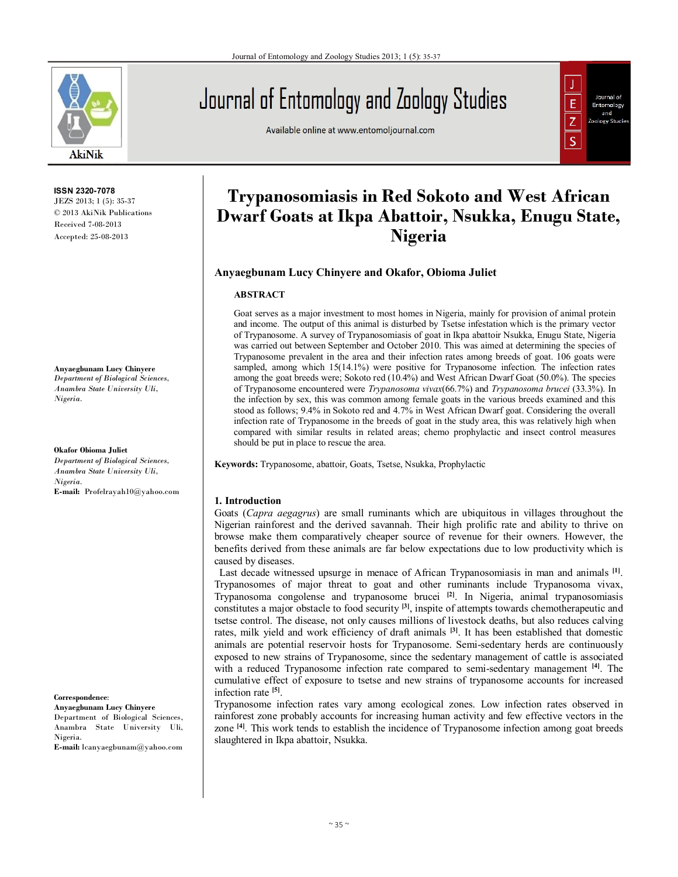

**ISSN 2320-7078** JEZS 2013; 1 (5): 35-37 © 2013 AkiNik Publications Received 7-08-2013 Accepted: 25-08-2013

**Anyaegbunam Lucy Chinyere** *Department of Biological Sciences,* 

*Anambra State University Uli, Nigeria.*

#### **Okafor Obioma Juliet**

*Department of Biological Sciences, Anambra State University Uli, Nigeria.* **E-mail:** Profelrayah10@yahoo.com

**Correspondence**:

**Anyaegbunam Lucy Chinyere** Department of Biological Sciences, Anambra State University Uli, Nigeria.

**E-mail:** lcanyaegbunam@yahoo.com

# Journal of Entomology and Zoology Studies

Available online at www.entomoljournal.com



# **Trypanosomiasis in Red Sokoto and West African Dwarf Goats at Ikpa Abattoir, Nsukka, Enugu State, Nigeria**

# **Anyaegbunam Lucy Chinyere and Okafor, Obioma Juliet**

### **ABSTRACT**

Goat serves as a major investment to most homes in Nigeria, mainly for provision of animal protein and income. The output of this animal is disturbed by Tsetse infestation which is the primary vector of Trypanosome. A survey of Trypanosomiasis of goat in Ikpa abattoir Nsukka, Enugu State, Nigeria was carried out between September and October 2010. This was aimed at determining the species of Trypanosome prevalent in the area and their infection rates among breeds of goat. 106 goats were sampled, among which 15(14.1%) were positive for Trypanosome infection. The infection rates among the goat breeds were; Sokoto red (10.4%) and West African Dwarf Goat (50.0%). The species of Trypanosome encountered were *Trypanosoma vivax*(66.7%) and *Trypanosoma brucei* (33.3%). In the infection by sex, this was common among female goats in the various breeds examined and this stood as follows; 9.4% in Sokoto red and 4.7% in West African Dwarf goat. Considering the overall infection rate of Trypanosome in the breeds of goat in the study area, this was relatively high when compared with similar results in related areas; chemo prophylactic and insect control measures should be put in place to rescue the area.

**Keywords:** Trypanosome, abattoir, Goats, Tsetse, Nsukka, Prophylactic

# **1. Introduction**

Goats (*Capra aegagrus*) are small ruminants which are ubiquitous in villages throughout the Nigerian rainforest and the derived savannah. Their high prolific rate and ability to thrive on browse make them comparatively cheaper source of revenue for their owners. However, the benefits derived from these animals are far below expectations due to low productivity which is caused by diseases.

Last decade witnessed upsurge in menace of African Trypanosomiasis in man and animals <sup>[1]</sup>. Trypanosomes of major threat to goat and other ruminants include Trypanosoma vivax, Trypanosoma congolense and trypanosome brucei **[2]** . In Nigeria, animal trypanosomiasis constitutes a major obstacle to food security **[3]** , inspite of attempts towards chemotherapeutic and tsetse control. The disease, not only causes millions of livestock deaths, but also reduces calving rates, milk yield and work efficiency of draft animals **[3]** . It has been established that domestic animals are potential reservoir hosts for Trypanosome. Semi-sedentary herds are continuously exposed to new strains of Trypanosome, since the sedentary management of cattle is associated with a reduced Trypanosome infection rate compared to semi-sedentary management **[4]** . The cumulative effect of exposure to tsetse and new strains of trypanosome accounts for increased infection rate **[5]** .

Trypanosome infection rates vary among ecological zones. Low infection rates observed in rainforest zone probably accounts for increasing human activity and few effective vectors in the zone **[4]** . This work tends to establish the incidence of Trypanosome infection among goat breeds slaughtered in Ikpa abattoir, Nsukka.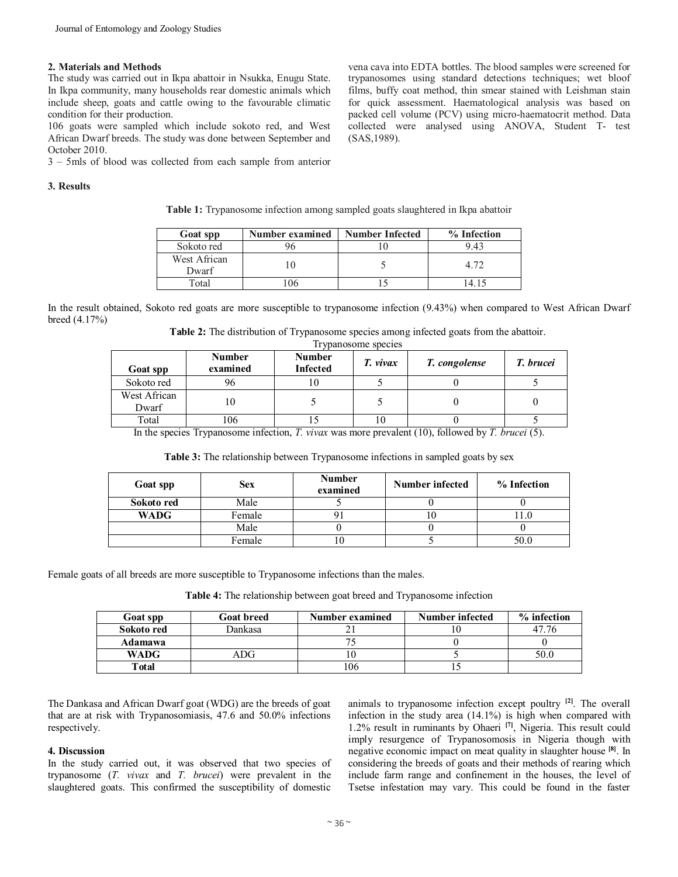#### **2. Materials and Methods**

The study was carried out in Ikpa abattoir in Nsukka, Enugu State. In Ikpa community, many households rear domestic animals which include sheep, goats and cattle owing to the favourable climatic condition for their production.

106 goats were sampled which include sokoto red, and West African Dwarf breeds. The study was done between September and October 2010.

3 – 5mls of blood was collected from each sample from anterior

## **3. Results**

| <b>Goat spp</b>       | Number examined | <b>Number Infected</b> | % Infection |
|-----------------------|-----------------|------------------------|-------------|
| Sokoto red            |                 |                        |             |
| West African<br>Dwarf |                 |                        | 4 72        |
| Total                 | 06              |                        |             |

**Table 1:** Trypanosome infection among sampled goats slaughtered in Ikpa abattoir

In the result obtained, Sokoto red goats are more susceptible to trypanosome infection (9.43%) when compared to West African Dwarf breed (4.17%)

> **Table 2:** The distribution of Trypanosome species among infected goats from the abattoir. Trypanosome species

| $\ldots$ , parrogenie opeeres |                             |                                  |          |               |           |
|-------------------------------|-----------------------------|----------------------------------|----------|---------------|-----------|
| <b>Goat spp</b>               | <b>Number</b><br>examined   | <b>Number</b><br><b>Infected</b> | T. vivax | T. congolense | T. brucei |
| Sokoto red                    | 96                          |                                  |          |               |           |
| West African<br>Dwarf         |                             |                                  |          |               |           |
| Total                         | 106<br>$\sim$ $\sim$ $\sim$ |                                  | 10       | .             |           |

In the species Trypanosome infection, *T. vivax* was more prevalent (10), followed by *T. brucei* (5).

# **Table 3:** The relationship between Trypanosome infections in sampled goats by sex

| Goat spp    | <b>Sex</b> | <b>Number</b><br>examined | Number infected | % Infection |
|-------------|------------|---------------------------|-----------------|-------------|
| Sokoto red  | Male       |                           |                 |             |
| <b>WADG</b> | Female     |                           |                 |             |
|             | Male       |                           |                 |             |
|             | Female     |                           |                 | 50.         |

Female goats of all breeds are more susceptible to Trypanosome infections than the males.

**Table 4:** The relationship between goat breed and Trypanosome infection

| <b>Goat spp</b> | Goat breed     | Number examined | <b>Number infected</b> | $%$ infection |
|-----------------|----------------|-----------------|------------------------|---------------|
| Sokoto red      | <b>Dankasa</b> |                 |                        |               |
| Adamawa         |                |                 |                        |               |
| <b>WADG</b>     |                |                 |                        | 50.0          |
| Total           |                | 106             |                        |               |

The Dankasa and African Dwarf goat (WDG) are the breeds of goat that are at risk with Trypanosomiasis, 47.6 and 50.0% infections respectively.

#### **4. Discussion**

In the study carried out, it was observed that two species of trypanosome (*T. vivax* and *T. brucei*) were prevalent in the slaughtered goats. This confirmed the susceptibility of domestic

animals to trypanosome infection except poultry **[2]** . The overall infection in the study area (14.1%) is high when compared with 1.2% result in ruminants by Ohaeri **[7]** , Nigeria. This result could imply resurgence of Trypanosomosis in Nigeria though with negative economic impact on meat quality in slaughter house **[8]** . In considering the breeds of goats and their methods of rearing which include farm range and confinement in the houses, the level of Tsetse infestation may vary. This could be found in the faster

vena cava into EDTA bottles. The blood samples were screened for trypanosomes using standard detections techniques; wet bloof films, buffy coat method, thin smear stained with Leishman stain for quick assessment. Haematological analysis was based on packed cell volume (PCV) using micro-haematocrit method. Data collected were analysed using ANOVA, Student T- test (SAS,1989).